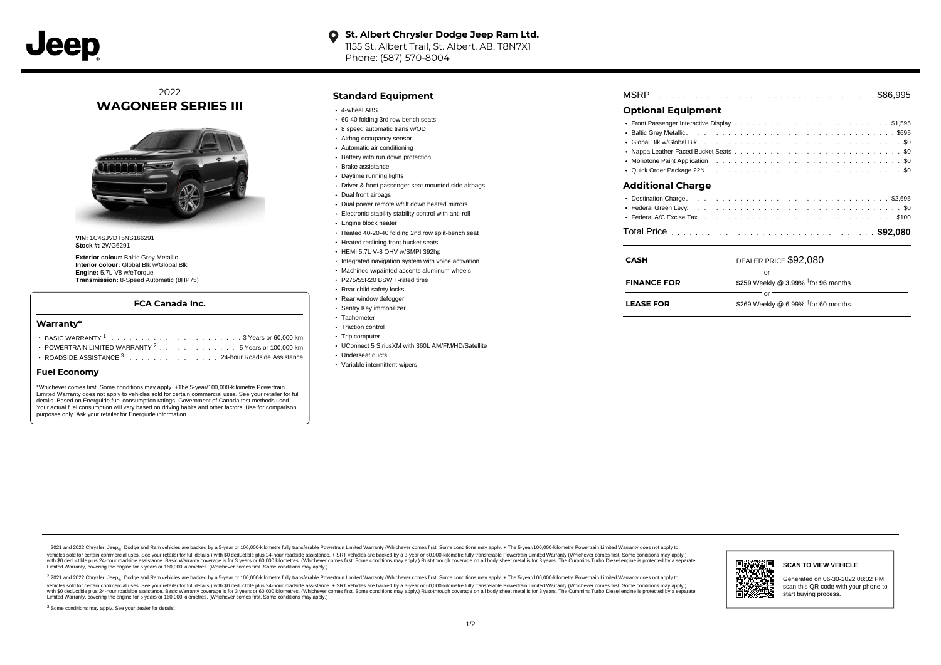## **O** St. Albert Chrysler Dodge Jeep Ram Ltd. 1155 St. Albert Trail, St. Albert, AB, T8N7X1

Phone: (587) 570-8004

# 2022 **WAGONEER SERIES III**



**VIN:** 1C4SJVDT5NS166291 **Stock #:** 2WG6291

**Exterior colour:** Baltic Grey Metallic **Interior colour:** Global Blk w/Global Blk **Engine:** 5.7L V8 w/eTorque **Transmission:** 8-Speed Automatic (8HP75)

### **FCA Canada Inc.**

#### **Warranty\***

- . . . . . . . . . . . . . . . . . . . . . . . . . . . . . . . . . . . . . . . . . . . BASIC WARRANTY <sup>1</sup> 3 Years or 60,000 km POWERTRAIN LIMITED WARRANTY  $2 \ldots \ldots \ldots \ldots \ldots 5$  Years or 100,000 km
- ROADSIDE ASSISTANCE 3 . . . . . . . . . . . . . . . 24-hour Roadside Assistance

#### **Fuel Economy**

\*Whichever comes first. Some conditions may apply. +The 5-year/100,000-kilometre Powertrain Limited Warranty does not apply to vehicles sold for certain commercial uses. See your retailer for full details. Based on Energuide fuel consumption ratings. Government of Canada test methods used. Your actual fuel consumption will vary based on driving habits and other factors. Use for comparison purposes only. Ask your retailer for Energuide information.

### **Standard Equipment**

- 4-wheel ABS
- 60-40 folding 3rd row bench seats
- 8 speed automatic trans w/OD
- Airbag occupancy sensor
- Automatic air conditioning
- Battery with run down protection
- Brake assistance
- Daytime running lights
- Driver & front passenger seat mounted side airbags
- Dual front airbags
- Dual power remote w/tilt down heated mirrors
- Electronic stability stability control with anti-roll
- Engine block heater
- Heated 40-20-40 folding 2nd row split-bench seat
- **Heated reclining front bucket seats**
- HEMI 5.7L V-8 OHV w/SMPI 392hp
- Integrated navigation system with voice activation
- Machined w/painted accents aluminum wheels
- P275/55R20 BSW T-rated tires
- Rear child safety locks
- Rear window defogger
- Sentry Key immobilizer Tachometer
- Traction control
- Trip computer
- UConnect 5 SiriusXM with 360L AM/FM/HD/Satellite
- Underseat ducts
- Variable intermittent wipers

|--|--|--|--|--|--|--|--|--|--|--|--|--|--|--|--|--|--|--|--|--|--|--|--|--|--|--|--|--|--|--|--|--|--|--|--|--|--|--|--|--|--|--|--|

## **Optional Equipment**

| • Quick Order Package 22N ................................. \$0 |  |  |  |  |  |  |  |  |  |  |  |  |  |  |
|-----------------------------------------------------------------|--|--|--|--|--|--|--|--|--|--|--|--|--|--|
|                                                                 |  |  |  |  |  |  |  |  |  |  |  |  |  |  |
|                                                                 |  |  |  |  |  |  |  |  |  |  |  |  |  |  |
|                                                                 |  |  |  |  |  |  |  |  |  |  |  |  |  |  |
|                                                                 |  |  |  |  |  |  |  |  |  |  |  |  |  |  |
|                                                                 |  |  |  |  |  |  |  |  |  |  |  |  |  |  |

#### **Additional Charge**

| <b>CASH</b>        | DEALER PRICE \$92,080                           |
|--------------------|-------------------------------------------------|
| <b>FINANCE FOR</b> | \$259 Weekly @ 3.99% <sup>†</sup> for 96 months |
| <b>LEASE FOR</b>   | \$269 Weekly @ 6.99% $†$ for 60 months          |

1 2021 and 2022 Chrysler, Jeep<sub>er</sub>, Dodge and Ram vehicles are backed by a 5-year or 100,000-kilometre fully transferable Powertrain Limited Warranty (Whichever comes first. Some conditions may apply. + The 5-year/100,000rebicles sold for certain commercial uses. See your retailer for full details) with S0 deductible plus 24-hour madside assistance. + SRT vehicles are backed by a 3-year or 60.000-kilometre fully transferable Powertrain Lim ventals and contract when the contract when the contract you contract when the contract when the control of the set of a set of a set of a set of 3 years of 60,000 kilometres. Whichever comes first. Some conditions may app Limited Warranty, covering the engine for 5 years or 160,000 kilometres. (Whichever comes first. Some conditions may apply.)

2 2021 and 2022 Chrysler, Jeep<sub>es</sub> Dodge and Ram vehicles are backed by a 5-year or 100,000-kilometre fully transferable Powertrain Limited Warranty (Whichever comes first. Some conditions may apply. + The 5-year/100,000-k vehicles sold for certain commercial uses. See your retailer for full details.) with SO deductible plus 24-hour roadside assistance. + SRT vehicles are backed by a 3-year or 60.000-kilometre fully transferable Powertrain L with S0 deductible plus 24-hour roadside assistance. Basic Warranty coverage is for 3 years or 60,000 kilometres. (Whichever comes first. Some conditions may apply.) Rust-through coverage on all body sheet metal is for 3 y



**SCAN TO VIEW VEHICLE**

<sup>3</sup> Some conditions may apply. See your dealer for details.